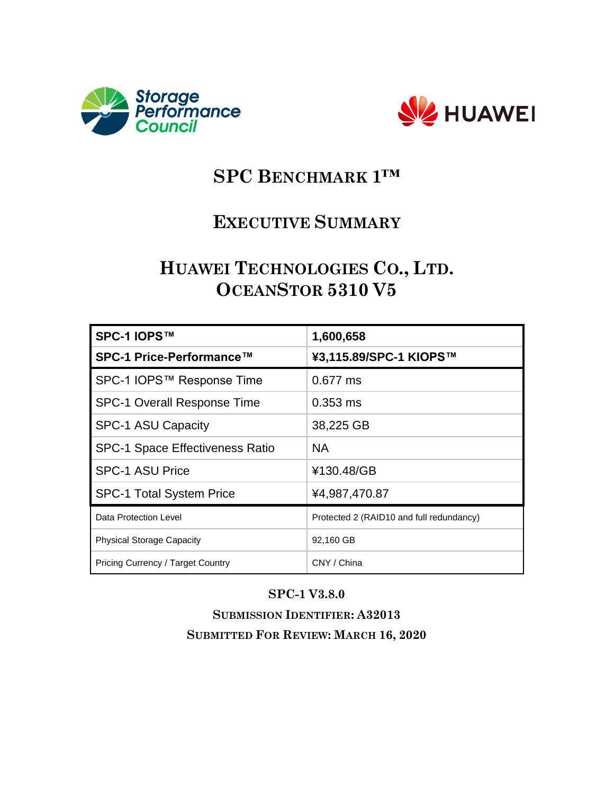



# **SPC BENCHMARK 1™**

## **EXECUTIVE SUMMARY**

## **HUAWEI TECHNOLOGIES CO., LTD. OCEANSTOR 5310 V5**

| SPC-1 IOPS™                              | 1,600,658                                |
|------------------------------------------|------------------------------------------|
| SPC-1 Price-Performance™                 | ¥3,115.89/SPC-1 KIOPS™                   |
| SPC-1 IOPS™ Response Time                | 0.677 ms                                 |
| <b>SPC-1 Overall Response Time</b>       | $0.353$ ms                               |
| <b>SPC-1 ASU Capacity</b>                | 38,225 GB                                |
| <b>SPC-1 Space Effectiveness Ratio</b>   | <b>NA</b>                                |
| <b>SPC-1 ASU Price</b>                   | ¥130.48/GB                               |
| <b>SPC-1 Total System Price</b>          | ¥4,987,470.87                            |
| Data Protection Level                    | Protected 2 (RAID10 and full redundancy) |
| <b>Physical Storage Capacity</b>         | 92,160 GB                                |
| <b>Pricing Currency / Target Country</b> | CNY / China                              |

#### **SPC-1 V3.8.0**

**SUBMISSION IDENTIFIER: A32013 SUBMITTED FOR REVIEW: MARCH 16, 2020**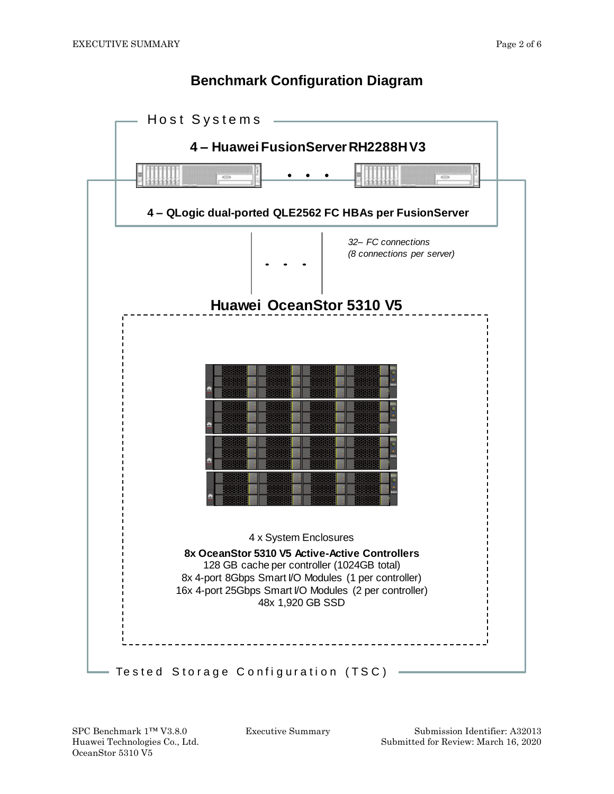#### **Benchmark Configuration Diagram**



OceanStor 5310 V5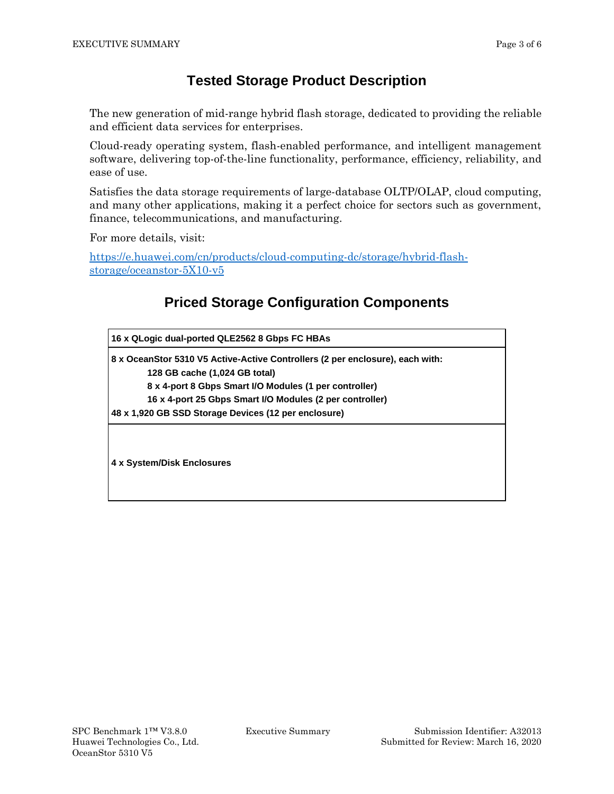#### **Tested Storage Product Description**

The new generation of mid-range hybrid flash storage, dedicated to providing the reliable and efficient data services for enterprises.

Cloud-ready operating system, flash-enabled performance, and intelligent management software, delivering top-of-the-line functionality, performance, efficiency, reliability, and ease of use.

Satisfies the data storage requirements of large-database OLTP/OLAP, cloud computing, and many other applications, making it a perfect choice for sectors such as government, finance, telecommunications, and manufacturing.

For more details, visit:

[https://e.huawei.com/cn/products/cloud-computing-dc/storage/hybrid-flash](https://e.huawei.com/cn/products/cloud-computing-dc/storage/hybrid-flash-storage/oceanstor-5X10-v5)[storage/oceanstor-5X10-v5](https://e.huawei.com/cn/products/cloud-computing-dc/storage/hybrid-flash-storage/oceanstor-5X10-v5)

### **Priced Storage Configuration Components**

| 16 x QLogic dual-ported QLE2562 8 Gbps FC HBAs                                |  |  |  |
|-------------------------------------------------------------------------------|--|--|--|
| 8 x OceanStor 5310 V5 Active-Active Controllers (2 per enclosure), each with: |  |  |  |
| 128 GB cache (1,024 GB total)                                                 |  |  |  |
| 8 x 4-port 8 Gbps Smart I/O Modules (1 per controller)                        |  |  |  |
| 16 x 4-port 25 Gbps Smart I/O Modules (2 per controller)                      |  |  |  |
| 48 x 1,920 GB SSD Storage Devices (12 per enclosure)                          |  |  |  |
|                                                                               |  |  |  |
| 4 x System/Disk Enclosures                                                    |  |  |  |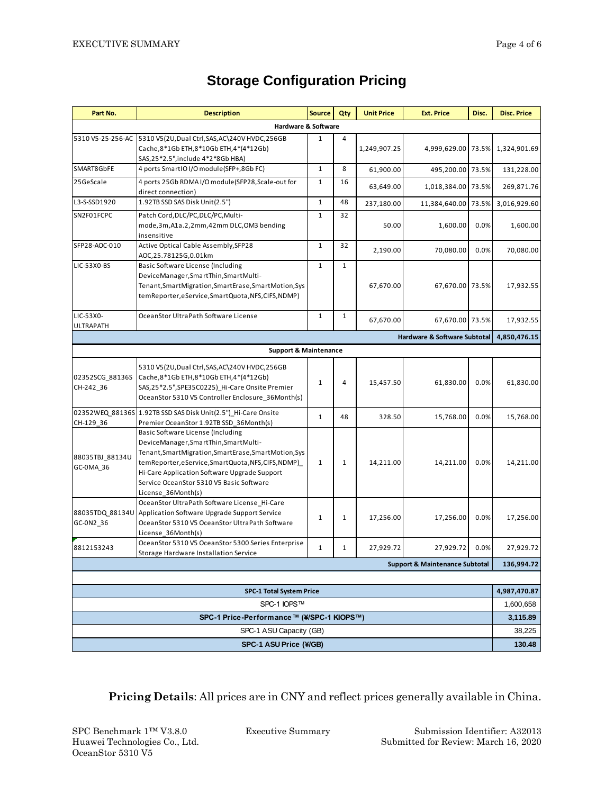| Part No.                                       | <b>Description</b>                                                                                                                                                                                                                                                                                        | <b>Source</b> | Qty          | <b>Unit Price</b> | <b>Ext. Price</b>                         | Disc. | <b>Disc. Price</b>        |
|------------------------------------------------|-----------------------------------------------------------------------------------------------------------------------------------------------------------------------------------------------------------------------------------------------------------------------------------------------------------|---------------|--------------|-------------------|-------------------------------------------|-------|---------------------------|
| Hardware & Software                            |                                                                                                                                                                                                                                                                                                           |               |              |                   |                                           |       |                           |
| 5310 V5-25-256-AC                              | 5310 V5(2U, Dual Ctrl, SAS, AC\240V HVDC, 256GB<br>Cache, 8*1Gb ETH, 8*10Gb ETH, 4* (4*12Gb)                                                                                                                                                                                                              | 1             | 4            | 1,249,907.25      | 4,999,629.00 73.5%                        |       | 1,324,901.69              |
| SMART8GbFE                                     | SAS,25*2.5",include 4*2*8Gb HBA)<br>4 ports SmartIO I/O module(SFP+,8Gb FC)                                                                                                                                                                                                                               | $\mathbf{1}$  | 8            | 61,900.00         | 495,200.00                                | 73.5% | 131,228.00                |
| 25GeScale                                      | 4 ports 25Gb RDMAI/O module(SFP28, Scale-out for<br>direct connection)                                                                                                                                                                                                                                    | 1             | 16           | 63,649.00         | 1,018,384.00                              | 73.5% | 269,871.76                |
| L3-S-SSD1920                                   | 1.92TB SSD SAS Disk Unit(2.5")                                                                                                                                                                                                                                                                            | $\mathbf 1$   | 48           | 237,180.00        | 11,384,640.00                             | 73.5% | 3,016,929.60              |
| SN2F01FCPC                                     | Patch Cord, DLC/PC, DLC/PC, Multi-<br>mode,3m,A1a.2,2mm,42mm DLC,OM3 bending<br>insensitive                                                                                                                                                                                                               | $\mathbf 1$   | 32           | 50.00             | 1,600.00                                  | 0.0%  | 1,600.00                  |
| SFP28-AOC-010                                  | Active Optical Cable Assembly, SFP28<br>AOC,25.78125G,0.01km                                                                                                                                                                                                                                              | $\mathbf 1$   | 32           | 2,190.00          | 70,080.00                                 | 0.0%  | 70,080.00                 |
| LIC-53X0-BS                                    | Basic Software License (Including<br>DeviceManager, SmartThin, SmartMulti-<br>Tenant, Smart Migration, Smart Erase, Smart Motion, Sys<br>temReporter,eService,SmartQuota,NFS,CIFS,NDMP)                                                                                                                   | $\mathbf 1$   | $\mathbf{1}$ | 67,670.00         | 67,670.00 73.5%                           |       | 17,932.55                 |
| LIC-53X0-<br><b>ULTRAPATH</b>                  | OceanStor UltraPath Software License                                                                                                                                                                                                                                                                      | $\mathbf{1}$  | $\mathbf{1}$ | 67,670.00         | 67,670.00 73.5%                           |       | 17,932.55                 |
| Hardware & Software Subtotal                   |                                                                                                                                                                                                                                                                                                           |               |              |                   |                                           |       | 4,850,476.15              |
|                                                | <b>Support &amp; Maintenance</b>                                                                                                                                                                                                                                                                          |               |              |                   |                                           |       |                           |
| 02352SCG 88136S<br>CH-242_36                   | 5310 V5(2U, Dual Ctrl, SAS, AC\240V HVDC, 256GB<br>Cache, 8*1Gb ETH, 8*10Gb ETH, 4* (4*12Gb)<br>SAS, 25*2.5", SPE35C0225)_Hi-Care Onsite Premier<br>OceanStor 5310 V5 Controller Enclosure_36Month(s)                                                                                                     | 1             | 4            | 15,457.50         | 61,830.00                                 | 0.0%  | 61,830.00                 |
| CH-129_36                                      | 02352WEQ_88136S 1.92TB SSD SAS Disk Unit(2.5")_Hi-Care Onsite<br>Premier OceanStor 1.92TB SSD_36Month(s)                                                                                                                                                                                                  | $\mathbf{1}$  | 48           | 328.50            | 15,768.00                                 | 0.0%  | 15,768.00                 |
| 88035TBJ 88134U<br>GC-0MA_36                   | Basic Software License (Including<br>DeviceManager, SmartThin, SmartMulti-<br>Tenant, Smart Migration, Smart Erase, Smart Motion, Sys<br>temReporter,eService,SmartQuota,NFS,CIFS,NDMP)<br>Hi-Care Application Software Upgrade Support<br>Service OceanStor 5310 V5 Basic Software<br>License_36Month(s) | $\mathbf{1}$  | $\mathbf{1}$ | 14,211.00         | 14,211.00                                 | 0.0%  | 14,211.00                 |
| 88035TDQ_88134U<br>GC-0N2 36                   | OceanStor UltraPath Software License Hi-Care<br>Application Software Upgrade Support Service<br>OceanStor 5310 V5 OceanStor UltraPath Software<br>License_36Month(s)                                                                                                                                      | 1             | $\mathbf{1}$ | 17,256.00         | 17,256.00                                 | 0.0%  | 17,256.00                 |
| 8812153243                                     | OceanStor 5310 V5 OceanStor 5300 Series Enterprise<br>Storage Hardware Installation Service                                                                                                                                                                                                               | $\mathbf{1}$  | $\mathbf{1}$ | 27,929.72         | 27,929.72                                 | 0.0%  | 27,929.72                 |
|                                                |                                                                                                                                                                                                                                                                                                           |               |              |                   | <b>Support &amp; Maintenance Subtotal</b> |       | 136,994.72                |
|                                                |                                                                                                                                                                                                                                                                                                           |               |              |                   |                                           |       |                           |
| <b>SPC-1 Total System Price</b><br>SPC-1 IOPS™ |                                                                                                                                                                                                                                                                                                           |               |              |                   |                                           |       | 4,987,470.87<br>1,600,658 |
| SPC-1 Price-Performance™ (¥/SPC-1 KIOPS™)      |                                                                                                                                                                                                                                                                                                           |               |              |                   |                                           |       | 3,115.89                  |
| SPC-1 ASU Capacity (GB)                        |                                                                                                                                                                                                                                                                                                           |               |              |                   |                                           |       | 38,225                    |
| SPC-1 ASU Price (\HGB)                         |                                                                                                                                                                                                                                                                                                           |               |              |                   | 130.48                                    |       |                           |

## **Storage Configuration Pricing**

**Pricing Details**: All prices are in CNY and reflect prices generally available in China.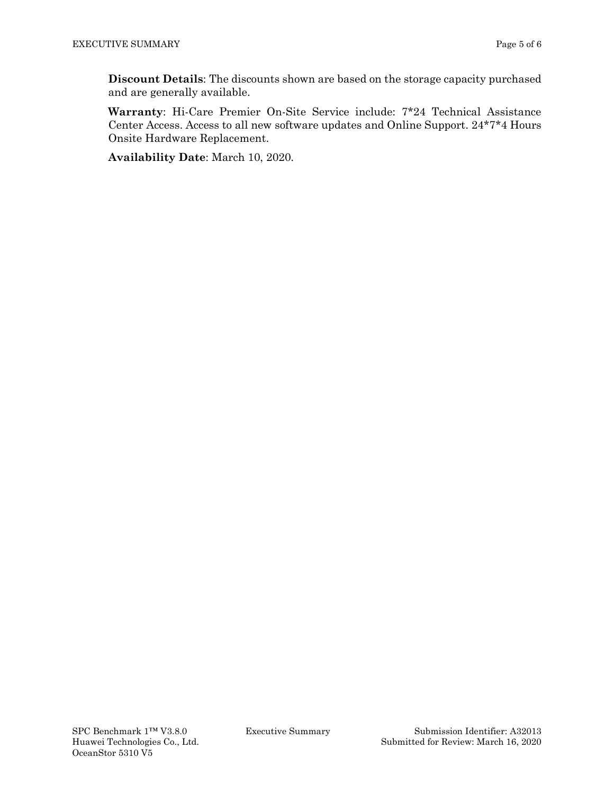**Discount Details**: The discounts shown are based on the storage capacity purchased and are generally available.

**Warranty**: Hi-Care Premier On-Site Service include: 7\*24 Technical Assistance Center Access. Access to all new software updates and Online Support. 24\*7\*4 Hours Onsite Hardware Replacement.

**Availability Date**: March 10, 2020.